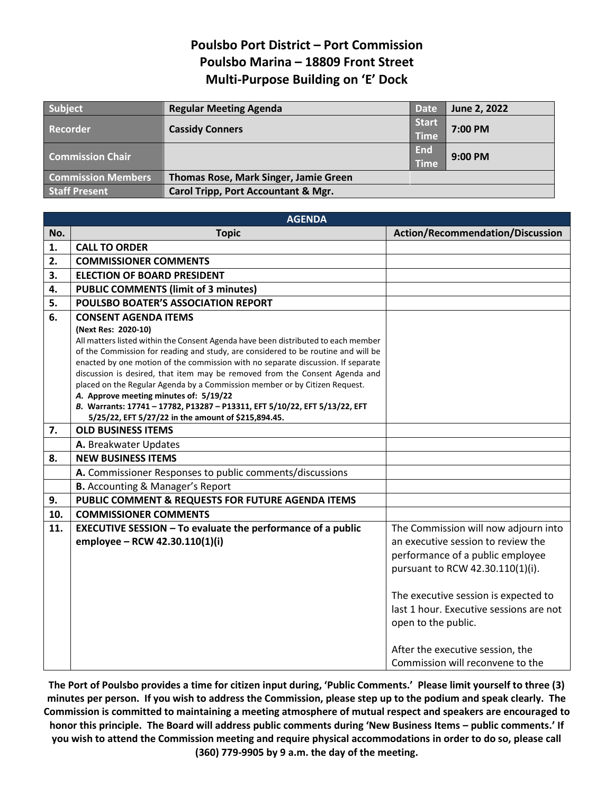## **Poulsbo Port District – Port Commission Poulsbo Marina – 18809 Front Street Multi-Purpose Building on 'E' Dock**

| Subject                   | <b>Regular Meeting Agenda</b>                  | <b>Date</b>                 | June 2, 2022 |
|---------------------------|------------------------------------------------|-----------------------------|--------------|
| <b>Recorder</b>           | <b>Cassidy Conners</b>                         | <b>Start</b><br><b>Time</b> | 7:00 PM      |
| <b>Commission Chair</b>   |                                                | <b>End</b><br><b>Time</b>   | 9:00 PM      |
| <b>Commission Members</b> | Thomas Rose, Mark Singer, Jamie Green          |                             |              |
| <b>Staff Present</b>      | <b>Carol Tripp, Port Accountant &amp; Mgr.</b> |                             |              |

|     | <b>AGENDA</b>                                                                                                                                                   |                                         |  |  |  |  |
|-----|-----------------------------------------------------------------------------------------------------------------------------------------------------------------|-----------------------------------------|--|--|--|--|
| No. | <b>Topic</b>                                                                                                                                                    | Action/Recommendation/Discussion        |  |  |  |  |
| 1.  | <b>CALL TO ORDER</b>                                                                                                                                            |                                         |  |  |  |  |
| 2.  | <b>COMMISSIONER COMMENTS</b>                                                                                                                                    |                                         |  |  |  |  |
| 3.  | <b>ELECTION OF BOARD PRESIDENT</b>                                                                                                                              |                                         |  |  |  |  |
| 4.  | <b>PUBLIC COMMENTS (limit of 3 minutes)</b>                                                                                                                     |                                         |  |  |  |  |
| 5.  | POULSBO BOATER'S ASSOCIATION REPORT                                                                                                                             |                                         |  |  |  |  |
| 6.  | <b>CONSENT AGENDA ITEMS</b>                                                                                                                                     |                                         |  |  |  |  |
|     | (Next Res: 2020-10)                                                                                                                                             |                                         |  |  |  |  |
|     | All matters listed within the Consent Agenda have been distributed to each member                                                                               |                                         |  |  |  |  |
|     | of the Commission for reading and study, are considered to be routine and will be                                                                               |                                         |  |  |  |  |
|     | enacted by one motion of the commission with no separate discussion. If separate<br>discussion is desired, that item may be removed from the Consent Agenda and |                                         |  |  |  |  |
|     | placed on the Regular Agenda by a Commission member or by Citizen Request.                                                                                      |                                         |  |  |  |  |
|     | A. Approve meeting minutes of: 5/19/22                                                                                                                          |                                         |  |  |  |  |
|     | B. Warrants: 17741 - 17782, P13287 - P13311, EFT 5/10/22, EFT 5/13/22, EFT                                                                                      |                                         |  |  |  |  |
|     | 5/25/22, EFT 5/27/22 in the amount of \$215,894.45.                                                                                                             |                                         |  |  |  |  |
| 7.  | <b>OLD BUSINESS ITEMS</b>                                                                                                                                       |                                         |  |  |  |  |
|     | A. Breakwater Updates                                                                                                                                           |                                         |  |  |  |  |
| 8.  | <b>NEW BUSINESS ITEMS</b>                                                                                                                                       |                                         |  |  |  |  |
|     | A. Commissioner Responses to public comments/discussions                                                                                                        |                                         |  |  |  |  |
|     | <b>B.</b> Accounting & Manager's Report                                                                                                                         |                                         |  |  |  |  |
| 9.  | PUBLIC COMMENT & REQUESTS FOR FUTURE AGENDA ITEMS                                                                                                               |                                         |  |  |  |  |
| 10. | <b>COMMISSIONER COMMENTS</b>                                                                                                                                    |                                         |  |  |  |  |
| 11. | <b>EXECUTIVE SESSION - To evaluate the performance of a public</b>                                                                                              | The Commission will now adjourn into    |  |  |  |  |
|     | employee - RCW 42.30.110(1)(i)                                                                                                                                  | an executive session to review the      |  |  |  |  |
|     |                                                                                                                                                                 | performance of a public employee        |  |  |  |  |
|     |                                                                                                                                                                 | pursuant to RCW 42.30.110(1)(i).        |  |  |  |  |
|     |                                                                                                                                                                 |                                         |  |  |  |  |
|     |                                                                                                                                                                 | The executive session is expected to    |  |  |  |  |
|     |                                                                                                                                                                 | last 1 hour. Executive sessions are not |  |  |  |  |
|     |                                                                                                                                                                 | open to the public.                     |  |  |  |  |
|     |                                                                                                                                                                 |                                         |  |  |  |  |
|     |                                                                                                                                                                 | After the executive session, the        |  |  |  |  |
|     |                                                                                                                                                                 | Commission will reconvene to the        |  |  |  |  |
|     |                                                                                                                                                                 |                                         |  |  |  |  |

**The Port of Poulsbo provides a time for citizen input during, 'Public Comments.' Please limit yourself to three (3) minutes per person. If you wish to address the Commission, please step up to the podium and speak clearly. The Commission is committed to maintaining a meeting atmosphere of mutual respect and speakers are encouraged to honor this principle. The Board will address public comments during 'New Business Items – public comments.' If you wish to attend the Commission meeting and require physical accommodations in order to do so, please call (360) 779-9905 by 9 a.m. the day of the meeting.**